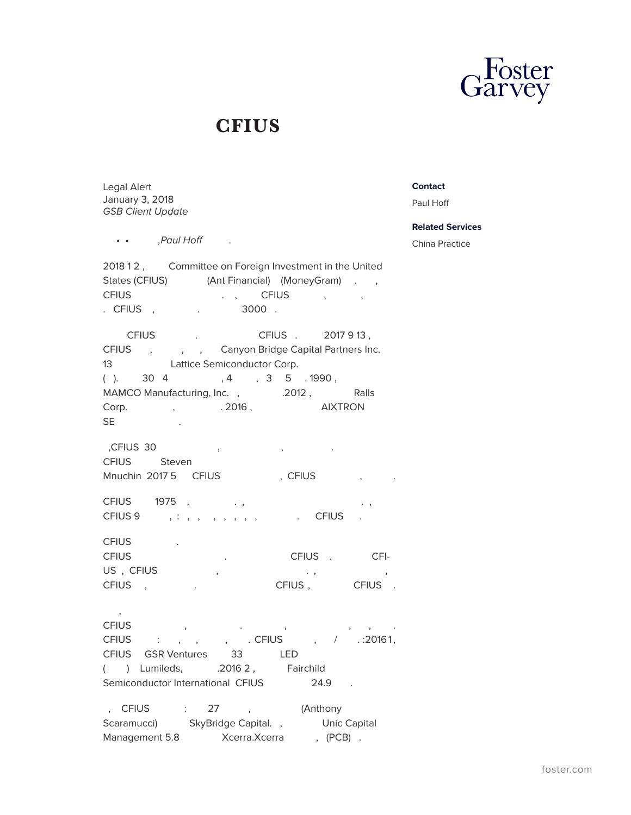

## **CFIUS**

Legal Alert January 3, 2018 *GSB Client Update*

 *• • ,Paul Hoff* .

2018 1 2, Committee on Foreign Investment in the United States (CFIUS) (Ant Financial) (MoneyGram) . , CFIUS . , CFIUS , , . CFIUS , . . . 3000 .

 CFIUS . CFIUS . 2017 9 13 , CFIUS, , , , Canyon Bridge Capital Partners Inc. 13 Lattice Semiconductor Corp. ( ). 30 4 , 4 , 3 5 . 1990, MAMCO Manufacturing, Inc. , .2012 , Ralls Corp. (2016, Corp. AIXTRON SE .

 ,CFIUS 30 , , . CFIUS Steven Mnuchin 2017 5 CFIUS , CFIUS , . .

CFIUS 1975 , . , . , CFIUS 9 , : , , , , , , , , . CFIUS .

**CFIUS** CFIUS . CFIUS . CFI-US, CFIUS, , CFIUS , ... CFIUS , CFIUS .

 , CFIUS , . , , , . CFIUS : , , , CFIUS , / .:20161, CFIUS GSR Ventures 33 LED ( ) Lumileds, 2016 2, Fairchild Semiconductor International CFIUS 24.9 .

 , CFIUS : 27 , (Anthony Scaramucci) SkyBridge Capital., Unic Capital Management 5.8 Xcerra.Xcerra , (PCB).

**Contact**

Paul Hoff

**Related Services**

China Practice